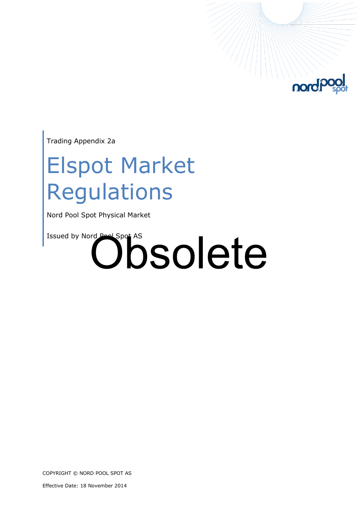

Trading Appendix 2a

### Elspot Market Regulations

Nord Pool Spot Physical Market

# Issued by Nord Pool Spot AS<br> **Obsolete**

COPYRIGHT © NORD POOL SPOT AS

Effective Date: 18 November 2014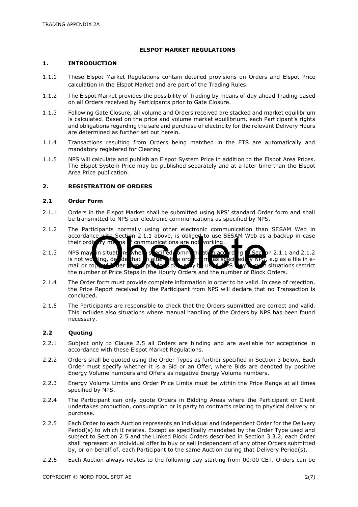#### **ELSPOT MARKET REGULATIONS**

#### **1. INTRODUCTION**

- 1.1.1 These Elspot Market Regulations contain detailed provisions on Orders and Elspot Price calculation in the Elspot Market and are part of the Trading Rules.
- 1.1.2 The Elspot Market provides the possibility of Trading by means of day ahead Trading based on all Orders received by Participants prior to Gate Closure.
- 1.1.3 Following Gate Closure, all volume and Orders received are stacked and market equilibrium is calculated. Based on the price and volume market equilibrium, each Participant's rights and obligations regarding the sale and purchase of electricity for the relevant Delivery Hours are determined as further set out herein.
- 1.1.4 Transactions resulting from Orders being matched in the ETS are automatically and mandatory registered for Clearing
- 1.1.5 NPS will calculate and publish an Elspot System Price in addition to the Elspot Area Prices. The Elspot System Price may be published separately and at a later time than the Elspot Area Price publication.

#### **2. REGISTRATION OF ORDERS**

#### **2.1 Order Form**

- 2.1.1 Orders in the Elspot Market shall be submitted using NPS' standard Order form and shall be transmitted to NPS per electronic communications as specified by NPS.
- 2.1.2 The Participants normally using other electronic communication than SESAM Web in accordance with Section 2.1.1 above, is obliged to use SESAM Web as a backup in case their ordinary means  $\mathbb{F}$  communications are not working.
- 2.1.3 NPS may in situations when is ecified communication according to Section 2.1.1 and 2.1.2 is not working, decide that an alternative order form as specified winny, e.g as a file in email or copy of Order from previous day, may be used. Now you as situations restrict The number of Price Steps in the Hourly Orders and the number of Block Orders.<br>
The number of Price Steps in the Hourly Orders and the number of Block Orders.
- 2.1.4 The Order form must provide complete information in order to be valid. In case of rejection, the Price Report received by the Participant from NPS will declare that no Transaction is concluded.
- 2.1.5 The Participants are responsible to check that the Orders submitted are correct and valid. This includes also situations where manual handling of the Orders by NPS has been found necessary.

#### **2.2 Quoting**

- 2.2.1 Subject only to Clause [2.5](#page-2-0) all Orders are binding and are available for acceptance in accordance with these Elspot Market Regulations.
- 2.2.2 Orders shall be quoted using the Order Types as further specified in Section [3 below.](#page-2-1) Each Order must specify whether it is a Bid or an Offer, where Bids are denoted by positive Energy Volume numbers and Offers as negative Energy Volume numbers.
- 2.2.3 Energy Volume Limits and Order Price Limits must be within the Price Range at all times specified by NPS.
- 2.2.4 The Participant can only quote Orders in Bidding Areas where the Participant or Client undertakes production, consumption or is party to contracts relating to physical delivery or purchase.
- 2.2.5 Each Order to each Auction represents an individual and independent Order for the Delivery Period(s) to which it relates. Except as specifically mandated by the Order Type used and subject to Section [2.5](#page-2-0) and the Linked Block Orders described in Section 3.3.2, each Order shall represent an individual offer to buy or sell independent of any other Orders submitted by, or on behalf of, each Participant to the same Auction during that Delivery Period(s).
- 2.2.6 Each Auction always relates to the following day starting from 00:00 CET. Orders can be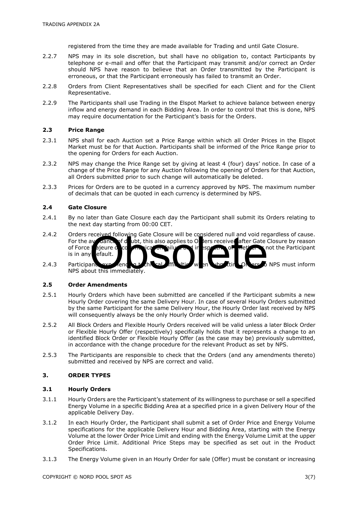registered from the time they are made available for Trading and until Gate Closure.

- 2.2.7 NPS may in its sole discretion, but shall have no obligation to, contact Participants by telephone or e-mail and offer that the Participant may transmit and/or correct an Order should NPS have reason to believe that an Order transmitted by the Participant is erroneous, or that the Participant erroneously has failed to transmit an Order.
- 2.2.8 Orders from Client Representatives shall be specified for each Client and for the Client Representative.
- 2.2.9 The Participants shall use Trading in the Elspot Market to achieve balance between energy inflow and energy demand in each Bidding Area. In order to control that this is done, NPS may require documentation for the Participant's basis for the Orders.

#### **2.3 Price Range**

- 2.3.1 NPS shall for each Auction set a Price Range within which all Order Prices in the Elspot Market must be for that Auction. Participants shall be informed of the Price Range prior to the opening for Orders for each Auction.
- 2.3.2 NPS may change the Price Range set by giving at least 4 (four) days' notice. In case of a change of the Price Range for any Auction following the opening of Orders for that Auction, all Orders submitted prior to such change will automatically be deleted.
- 2.3.3 Prices for Orders are to be quoted in a currency approved by NPS. The maximum number of decimals that can be quoted in each currency is determined by NPS.

#### **2.4 Gate Closure**

- 2.4.1 By no later than Gate Closure each day the Participant shall submit its Orders relating to the next day starting from 00:00 CET.
- 2.4.2 Orders received following Gate Closure will be considered null and void regardless of cause.<br>For the avidance of dubt, this also applies to Offers received after Gate Closure by reason For the avoidance of dubt, this also applies to Orders received after Gate Closure by reason<br>of Force ajeure of corders received after Gate Closure by reason<br>is in any efault.<br>Participant experience and the space of the co of Force Majeure or communication failure and irrespective of the fact and not the Participant is in any default. is in any
- 2.4.3 Participants experience of the sale of the submitting orders of NPS must inform NPS about this immediately.

#### <span id="page-2-0"></span>**2.5 Order Amendments**

- 2.5.1 Hourly Orders which have been submitted are cancelled if the Participant submits a new Hourly Order covering the same Delivery Hour. In case of several Hourly Orders submitted by the same Participant for the same Delivery Hour, the Hourly Order last received by NPS will consequently always be the only Hourly Order which is deemed valid.
- 2.5.2 All Block Orders and Flexible Hourly Orders received will be valid unless a later Block Order or Flexible Hourly Offer (respectively) specifically holds that it represents a change to an identified Block Order or Flexible Hourly Offer (as the case may be) previously submitted, in accordance with the change procedure for the relevant Product as set by NPS.
- 2.5.3 The Participants are responsible to check that the Orders (and any amendments thereto) submitted and received by NPS are correct and valid.

#### <span id="page-2-1"></span>**3. ORDER TYPES**

#### **3.1 Hourly Orders**

- 3.1.1 Hourly Orders are the Participant's statement of its willingness to purchase or sell a specified Energy Volume in a specific Bidding Area at a specified price in a given Delivery Hour of the applicable Delivery Day.
- 3.1.2 In each Hourly Order, the Participant shall submit a set of Order Price and Energy Volume specifications for the applicable Delivery Hour and Bidding Area, starting with the Energy Volume at the lower Order Price Limit and ending with the Energy Volume Limit at the upper Order Price Limit. Additional Price Steps may be specified as set out in the Product Specifications.
- 3.1.3 The Energy Volume given in an Hourly Order for sale (Offer) must be constant or increasing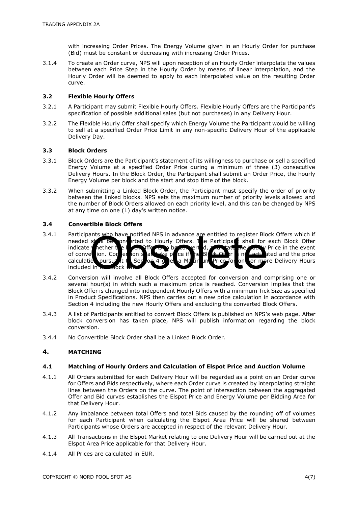with increasing Order Prices. The Energy Volume given in an Hourly Order for purchase (Bid) must be constant or decreasing with increasing Order Prices.

3.1.4 To create an Order curve, NPS will upon reception of an Hourly Order interpolate the values between each Price Step in the Hourly Order by means of linear interpolation, and the Hourly Order will be deemed to apply to each interpolated value on the resulting Order curve.

#### **3.2 Flexible Hourly Offers**

- 3.2.1 A Participant may submit Flexible Hourly Offers. Flexible Hourly Offers are the Participant's specification of possible additional sales (but not purchases) in any Delivery Hour.
- 3.2.2 The Flexible Hourly Offer shall specify which Energy Volume the Participant would be willing to sell at a specified Order Price Limit in any non-specific Delivery Hour of the applicable Delivery Day.

#### **3.3 Block Orders**

- 3.3.1 Block Orders are the Participant's statement of its willingness to purchase or sell a specified Energy Volume at a specified Order Price during a minimum of three (3) consecutive Delivery Hours. In the Block Order, the Participant shall submit an Order Price, the hourly Energy Volume per block and the start and stop time of the block.
- 3.3.2 When submitting a Linked Block Order, the Participant must specify the order of priority between the linked blocks. NPS sets the maximum number of priority levels allowed and the number of Block Orders allowed on each priority level, and this can be changed by NPS at any time on one (1) day's written notice.

#### **3.4 Convertible Block Offers**

- 3.4.1 Participants who have notified NPS in advance are entitled to register Block Offers which if needed stand between the Hourly Offers. The Participant shall for each Block Offer needed shall be converted to Hourly Offers. The Participant shall for each Block Offer<br>indicate nether the Los Offers a become erth d. Zon tall the Zon v Price in the event indicate whether the Block Offer is to be converted, and state the Hourly Price in the event of convertion. Convertion shall sake price if the Block of the price in the event of conversion. Conversion shall take place if the Block of the Indian share that and the price calculation pursual to the Section 4 of each in the price for one or more Delivery Hours pursuant to Section 4 gives a Maximum Price for one or more Delivery Hours included in 3.4.2 Conversion will involve all Block Offers accepted for conversion and comprising one or activities on the state of conversion will involve all Block Offers accepted for conversion and comprising one or activities on t
- several hour(s) in which such a maximum price is reached. Conversion implies that the Block Offer is changed into independent Hourly Offers with a minimum Tick Size as specified in Product Specifications. NPS then carries out a new price calculation in accordance with Section 4 including the new Hourly Offers and excluding the converted Block Offers.
- 3.4.3 A list of Participants entitled to convert Block Offers is published on NPS's web page. After block conversion has taken place, NPS will publish information regarding the block conversion.
- 3.4.4 No Convertible Block Order shall be a Linked Block Order.

#### **4. MATCHING**

#### **4.1 Matching of Hourly Orders and Calculation of Elspot Price and Auction Volume**

- 4.1.1 All Orders submitted for each Delivery Hour will be regarded as a point on an Order curve for Offers and Bids respectively, where each Order curve is created by interpolating straight lines between the Orders on the curve. The point of intersection between the aggregated Offer and Bid curves establishes the Elspot Price and Energy Volume per Bidding Area for that Delivery Hour.
- 4.1.2 Any imbalance between total Offers and total Bids caused by the rounding off of volumes for each Participant when calculating the Elspot Area Price will be shared between Participants whose Orders are accepted in respect of the relevant Delivery Hour.
- 4.1.3 All Transactions in the Elspot Market relating to one Delivery Hour will be carried out at the Elspot Area Price applicable for that Delivery Hour.
- 4.1.4 All Prices are calculated in EUR.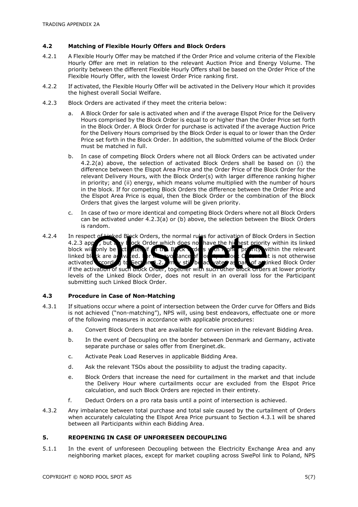#### **4.2 Matching of Flexible Hourly Offers and Block Orders**

- 4.2.1 A Flexible Hourly Offer may be matched if the Order Price and volume criteria of the Flexible Hourly Offer are met in relation to the relevant Auction Price and Energy Volume. The priority between the different Flexible Hourly Offers shall be based on the Order Price of the Flexible Hourly Offer, with the lowest Order Price ranking first.
- <span id="page-4-0"></span>4.2.2 If activated, the Flexible Hourly Offer will be activated in the Delivery Hour which it provides the highest overall Social Welfare.
- <span id="page-4-1"></span>4.2.3 Block Orders are activated if they meet the criteria below:
	- a. A Block Order for sale is activated when and if the average Elspot Price for the Delivery Hours comprised by the Block Order is equal to or higher than the Order Price set forth in the Block Order. A Block Order for purchase is activated if the average Auction Price for the Delivery Hours comprised by the Block Order is equal to or lower than the Order Price set forth in the Block Order. In addition, the submitted volume of the Block Order must be matched in full.
	- b. In case of competing Block Orders where not all Block Orders can be activated under [4.2.2\(](#page-4-0)[a\)](#page-4-1) above, the selection of activated Block Orders shall be based on (i) the difference between the Elspot Area Price and the Order Price of the Block Order for the relevant Delivery Hours, with the Block Order(s) with larger difference ranking higher in priority; and (ii) energy, which means volume multiplied with the number of hours in the block. If for competing Block Orders the difference between the Order Price and the Elspot Area Price is equal, then the Block Order or the combination of the Block Orders that gives the largest volume will be given priority.
	- c. In case of two or more identical and competing Block Orders where not all Block Orders can be activated under 4.2.3(a) or (b) above, the selection between the Block Orders is random.
- 4.2.4 In respect of Linked Block Orders, the normal rules for activation of Block Orders in Section 4.2.3 app<sup>y</sup>, but any Block Order which does not have the highest priority within its linked block will only be active activities with the Block of a straight of the priority within the relevant linked block of a straight priority within the relevant linked block are active ted. For the avoidance of order to do to  $\mathbb{R}$  be that is not otherwise activated **according to Section 4.2.3** may still be activated as part of a Linked Block Order if the activation of such Block Order, together with such other Block Orders at lower priority levels of the Linked Block Order, does not result in an overall loss for the Participant submitting such Linked Block Order. execution of Block Orders, the normal rules for activation of Block<br>il only be cited if the Block of the bigger of the highle principle<br>if the activation of such block Order, together with such other block order<br>of the Lin

#### **4.3 Procedure in Case of Non-Matching**

- 4.3.1 If situations occur where a point of intersection between the Order curve for Offers and Bids is not achieved ("non-matching"), NPS will, using best endeavors, effectuate one or more of the following measures in accordance with applicable procedures:
	- a. Convert Block Orders that are available for conversion in the relevant Bidding Area.
	- b. In the event of Decoupling on the border between Denmark and Germany, activate separate purchase or sales offer from Energinet.dk.
	- c. Activate Peak Load Reserves in applicable Bidding Area.
	- d. Ask the relevant TSOs about the possibility to adjust the trading capacity.
	- e. Block Orders that increase the need for curtailment in the market and that include the Delivery Hour where curtailments occur are excluded from the Elspot Price calculation, and such Block Orders are rejected in their entirety.
	- f. Deduct Orders on a pro rata basis until a point of intersection is achieved.
- 4.3.2 Any imbalance between total purchase and total sale caused by the curtailment of Orders when accurately calculating the Elspot Area Price pursuant to Section 4.3.1 will be shared between all Participants within each Bidding Area.

#### **5. REOPENING IN CASE OF UNFORESEEN DECOUPLING**

5.1.1 In the event of unforeseen Decoupling between the Electricity Exchange Area and any neighboring market places, except for market coupling across SwePol link to Poland, NPS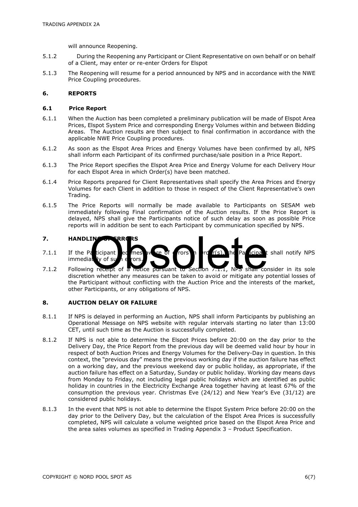will announce Reopening.

- 5.1.2 During the Reopening any Participant or Client Representative on own behalf or on behalf of a Client, may enter or re-enter Orders for Elspot
- 5.1.3 The Reopening will resume for a period announced by NPS and in accordance with the NWE Price Coupling procedures.

#### **6. REPORTS**

#### **6.1 Price Report**

- 6.1.1 When the Auction has been completed a preliminary publication will be made of Elspot Area Prices, Elspot System Price and corresponding Energy Volumes within and between Bidding Areas. The Auction results are then subject to final confirmation in accordance with the applicable NWE Price Coupling procedures.
- 6.1.2 As soon as the Elspot Area Prices and Energy Volumes have been confirmed by all, NPS shall inform each Participant of its confirmed purchase/sale position in a Price Report.
- 6.1.3 The Price Report specifies the Elspot Area Price and Energy Volume for each Delivery Hour for each Elspot Area in which Order(s) have been matched.
- 6.1.4 Price Reports prepared for Client Representatives shall specify the Area Prices and Energy Volumes for each Client in addition to those in respect of the Client Representative's own Trading.
- 6.1.5 The Price Reports will normally be made available to Participants on SESAM web immediately following Final confirmation of the Auction results. If the Price Report is delayed, NPS shall give the Participants notice of such delay as soon as possible Price reports will in addition be sent to each Participant by communication specified by NPS.

#### **7. HANDLING OF ERRORS**

- 7.1.1 If the Participant becomes aware of errors in  $\mathsf{r}$  or  $f(s)$ , the Participant shall notify NPS  $immediately$  of such errors. HANDLIN FREE RS<br>If the Participant ed mess avere of rors<br>Following recept of a notice pursuant to Section 7.1.1, NPS shan consider in its sole<br>discretion whether any measures can be taken to avoid or mitigate any potential
- 7.1.2 Following receipt of a notice pursuant to Section 7.1.1, NPS shall consider in its sole the Participant without conflicting with the Auction Price and the interests of the market, other Participants, or any obligations of NPS.

#### **8. AUCTION DELAY OR FAILURE**

- 8.1.1 If NPS is delayed in performing an Auction, NPS shall inform Participants by publishing an Operational Message on NPS website with regular intervals starting no later than 13:00 CET, until such time as the Auction is successfully completed.
- 8.1.2 If NPS is not able to determine the Elspot Prices before 20:00 on the day prior to the Delivery Day, the Price Report from the previous day will be deemed valid hour by hour in respect of both Auction Prices and Energy Volumes for the Delivery-Day in question. In this context, the "previous day" means the previous working day if the auction failure has effect on a working day, and the previous weekend day or public holiday, as appropriate, if the auction failure has effect on a Saturday, Sunday or public holiday. Working day means days from Monday to Friday, not including legal public holidays which are identified as public holiday in countries in the Electricity Exchange Area together having at least 67% of the consumption the previous year. Christmas Eve (24/12) and New Year's Eve (31/12) are considered public holidays.
- 8.1.3 In the event that NPS is not able to determine the Elspot System Price before 20:00 on the day prior to the Delivery Day, but the calculation of the Elspot Area Prices is successfully completed, NPS will calculate a volume weighted price based on the Elspot Area Price and the area sales volumes as specified in Trading Appendix 3 – Product Specification.